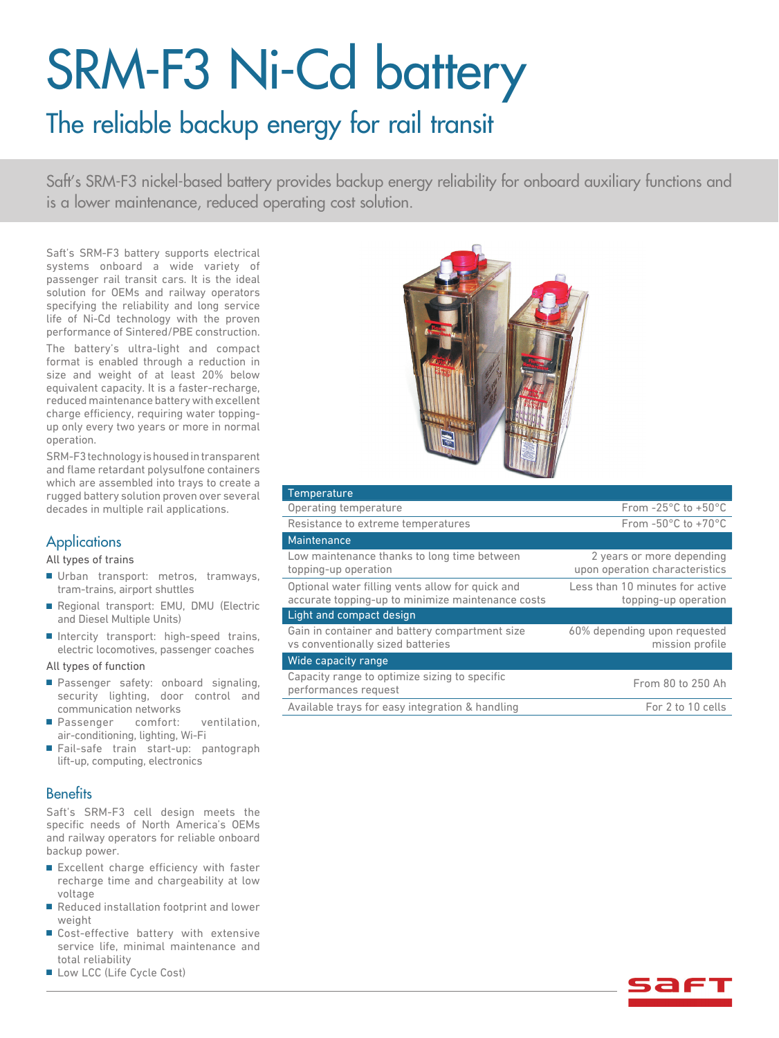# SRM-F3 Ni-Cd battery

## The reliable backup energy for rail transit

Saft's SRM-F3 nickel-based battery provides backup energy reliability for onboard auxiliary functions and is a lower maintenance, reduced operating cost solution.

Saft's SRM-F3 battery supports electrical systems onboard a wide variety of passenger rail transit cars. It is the ideal solution for OEMs and railway operators specifying the reliability and long service life of Ni-Cd technology with the proven performance of Sintered/PBE construction.

The battery's ultra-light and compact format is enabled through a reduction in size and weight of at least 20% below equivalent capacity. It is a faster-recharge, reduced maintenance battery with excellent charge efficiency, requiring water toppingup only every two years or more in normal operation.

SRM-F3 technology is housed in transparent and flame retardant polysulfone containers which are assembled into trays to create a rugged battery solution proven over several decades in multiple rail applications.

#### **Applications**

#### All types of trains

- Urban transport: metros, tramways, tram-trains, airport shuttles
- Regional transport: EMU, DMU (Electric and Diesel Multiple Units)
- Intercity transport: high-speed trains, electric locomotives, passenger coaches

All types of function

- Passenger safety: onboard signaling, security lighting, door control and communication networks
- Passenger comfort: ventilation, air-conditioning, lighting, Wi-Fi
- Fail-safe train start-up: pantograph lift-up, computing, electronics

#### **Benefits**

Saft's SRM-F3 cell design meets the specific needs of North America's OEMs and railway operators for reliable onboard backup power.

- Excellent charge efficiency with faster recharge time and chargeability at low voltage
- Reduced installation footprint and lower weight
- Cost-effective battery with extensive service life, minimal maintenance and total reliability
- Low LCC (Life Cycle Cost)



| <b>Temperature</b>                                                                                    |                                                             |
|-------------------------------------------------------------------------------------------------------|-------------------------------------------------------------|
| Operating temperature                                                                                 | From $-25^{\circ}$ C to $+50^{\circ}$ C                     |
| Resistance to extreme temperatures                                                                    | From $-50^{\circ}$ C to $+70^{\circ}$ C                     |
| Maintenance                                                                                           |                                                             |
| Low maintenance thanks to long time between<br>topping-up operation                                   | 2 years or more depending<br>upon operation characteristics |
| Optional water filling vents allow for quick and<br>accurate topping-up to minimize maintenance costs | Less than 10 minutes for active<br>topping-up operation     |
| Light and compact design                                                                              |                                                             |
| Gain in container and battery compartment size<br>vs conventionally sized batteries                   | 60% depending upon requested<br>mission profile             |
| Wide capacity range                                                                                   |                                                             |
| Capacity range to optimize sizing to specific<br>performances request                                 | From 80 to 250 Ah                                           |
| Available trays for easy integration & handling                                                       | For 2 to 10 cells                                           |